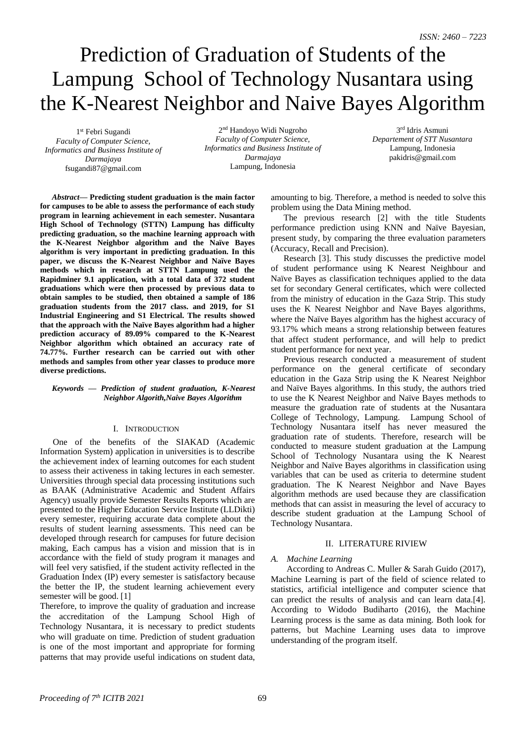# Prediction of Graduation of Students of the Lampung School of Technology Nusantara using the K-Nearest Neighbor and Naive Bayes Algorithm

1 st Febri Sugandi *Faculty of Computer Science, Informatics and Business Institute of Darmajaya*  fsugandi87@gmail.com

2 nd Handoyo Widi Nugroho *Faculty of Computer Science, Informatics and Business Institute of Darmajaya* Lampung, Indonesia

3 rd Idris Asmuni *Departement of STT Nusantara* Lampung, Indonesia pakidris@gmail.com

*Abstract***— Predicting student graduation is the main factor for campuses to be able to assess the performance of each study program in learning achievement in each semester. Nusantara High School of Technology (STTN) Lampung has difficulty predicting graduation, so the machine learning approach with the K-Nearest Neighbor algorithm and the Naïve Bayes algorithm is very important in predicting graduation. In this paper, we discuss the K-Nearest Neighbor and Naïve Bayes methods which in research at STTN Lampung used the Rapidminer 9.1 application, with a total data of 372 student graduations which were then processed by previous data to obtain samples to be studied, then obtained a sample of 186 graduation students from the 2017 class. and 2019, for S1 Industrial Engineering and S1 Electrical. The results showed that the approach with the Naïve Bayes algorithm had a higher prediction accuracy of 89.09% compared to the K-Nearest Neighbor algorithm which obtained an accuracy rate of 74.77%. Further research can be carried out with other methods and samples from other year classes to produce more diverse predictions.**

# *Keywords — Prediction of student graduation, K-Nearest Neighbor Algorith,Naive Bayes Algorithm*

# I. INTRODUCTION

One of the benefits of the SIAKAD (Academic Information System) application in universities is to describe the achievement index of learning outcomes for each student to assess their activeness in taking lectures in each semester. Universities through special data processing institutions such as BAAK (Administrative Academic and Student Affairs Agency) usually provide Semester Results Reports which are presented to the Higher Education Service Institute (LLDikti) every semester, requiring accurate data complete about the results of student learning assessments. This need can be developed through research for campuses for future decision making, Each campus has a vision and mission that is in accordance with the field of study program it manages and will feel very satisfied, if the student activity reflected in the Graduation Index (IP) every semester is satisfactory because the better the IP, the student learning achievement every semester will be good. [1]

Therefore, to improve the quality of graduation and increase the accreditation of the Lampung School High of Technology Nusantara, it is necessary to predict students who will graduate on time. Prediction of student graduation is one of the most important and appropriate for forming patterns that may provide useful indications on student data, amounting to big. Therefore, a method is needed to solve this problem using the Data Mining method.

The previous research [2] with the title Students performance prediction using KNN and Naïve Bayesian, present study, by comparing the three evaluation parameters (Accuracy, Recall and Precision).

Research [3]. This study discusses the predictive model of student performance using K Nearest Neighbour and Naïve Bayes as classification techniques applied to the data set for secondary General certificates, which were collected from the ministry of education in the Gaza Strip. This study uses the K Nearest Neighbor and Nave Bayes algorithms, where the Naïve Bayes algorithm has the highest accuracy of 93.17% which means a strong relationship between features that affect student performance, and will help to predict student performance for next year.

Previous research conducted a measurement of student performance on the general certificate of secondary education in the Gaza Strip using the K Nearest Neighbor and Naïve Bayes algorithms. In this study, the authors tried to use the K Nearest Neighbor and Naïve Bayes methods to measure the graduation rate of students at the Nusantara College of Technology, Lampung. Lampung School of Technology Nusantara itself has never measured the graduation rate of students. Therefore, research will be conducted to measure student graduation at the Lampung School of Technology Nusantara using the K Nearest Neighbor and Naïve Bayes algorithms in classification using variables that can be used as criteria to determine student graduation. The K Nearest Neighbor and Nave Bayes algorithm methods are used because they are classification methods that can assist in measuring the level of accuracy to describe student graduation at the Lampung School of Technology Nusantara.

## II. LITERATURE RIVIEW

## *A. Machine Learning*

According to Andreas C. Muller & Sarah Guido (2017), Machine Learning is part of the field of science related to statistics, artificial intelligence and computer science that can predict the results of analysis and can learn data.[4]. According to Widodo Budiharto (2016), the Machine Learning process is the same as data mining. Both look for patterns, but Machine Learning uses data to improve understanding of the program itself.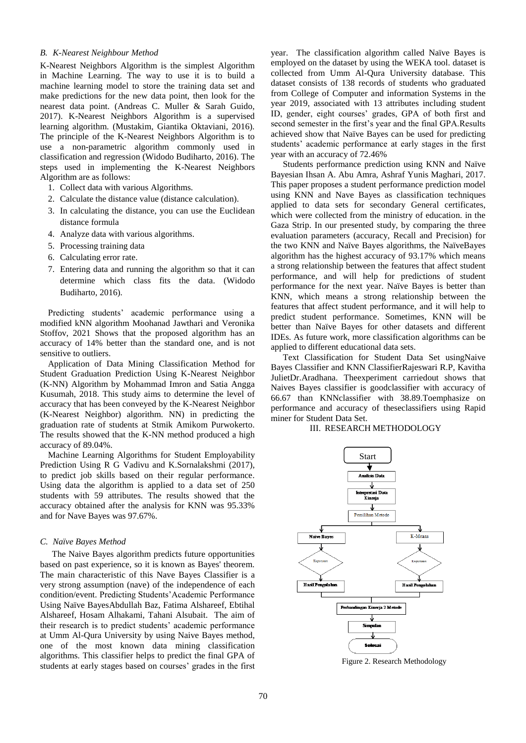# *B. K-Nearest Neighbour Method*

K-Nearest Neighbors Algorithm is the simplest Algorithm in Machine Learning. The way to use it is to build a machine learning model to store the training data set and make predictions for the new data point, then look for the nearest data point. (Andreas C. Muller & Sarah Guido, 2017). K-Nearest Neighbors Algorithm is a supervised learning algorithm. (Mustakim, Giantika Oktaviani, 2016). The principle of the K-Nearest Neighbors Algorithm is to use a non-parametric algorithm commonly used in classification and regression (Widodo Budiharto, 2016). The steps used in implementing the K-Nearest Neighbors Algorithm are as follows:

- 1. Collect data with various Algorithms.
- 2. Calculate the distance value (distance calculation).
- 3. In calculating the distance, you can use the Euclidean distance formula
- 4. Analyze data with various algorithms.
- 5. Processing training data
- 6. Calculating error rate.
- 7. Entering data and running the algorithm so that it can determine which class fits the data. (Widodo Budiharto, 2016).

Predicting students' academic performance using a modified kNN algorithm Moohanad Jawthari and Veronika Stoffov, 2021 Shows that the proposed algorithm has an accuracy of 14% better than the standard one, and is not sensitive to outliers.

Application of Data Mining Classification Method for Student Graduation Prediction Using K-Nearest Neighbor (K-NN) Algorithm by Mohammad Imron and Satia Angga Kusumah, 2018. This study aims to determine the level of accuracy that has been conveyed by the K-Nearest Neighbor (K-Nearest Neighbor) algorithm. NN) in predicting the graduation rate of students at Stmik Amikom Purwokerto. The results showed that the K-NN method produced a high accuracy of 89.04%.

Machine Learning Algorithms for Student Employability Prediction Using R G Vadivu and K.Sornalakshmi (2017), to predict job skills based on their regular performance. Using data the algorithm is applied to a data set of 250 students with 59 attributes. The results showed that the accuracy obtained after the analysis for KNN was 95.33% and for Nave Bayes was 97.67%.

## *C. Naïve Bayes Method*

The Naive Bayes algorithm predicts future opportunities based on past experience, so it is known as Bayes' theorem. The main characteristic of this Nave Bayes Classifier is a very strong assumption (nave) of the independence of each condition/event. Predicting Students'Academic Performance Using Naïve BayesAbdullah Baz, Fatima Alshareef, Ebtihal Alshareef, Hosam Alhakami, Tahani Alsubait. The aim of their research is to predict students' academic performance at Umm Al-Qura University by using Naive Bayes method, one of the most known data mining classification algorithms. This classifier helps to predict the final GPA of students at early stages based on courses' grades in the first year. The classification algorithm called Naïve Bayes is employed on the dataset by using the WEKA tool. dataset is collected from Umm Al-Qura University database. This dataset consists of 138 records of students who graduated from College of Computer and information Systems in the year 2019, associated with 13 attributes including student ID, gender, eight courses' grades, GPA of both first and second semester in the first's year and the final GPA.Results achieved show that Naïve Bayes can be used for predicting students' academic performance at early stages in the first year with an accuracy of 72.46%

Students performance prediction using KNN and Naïve Bayesian Ihsan A. Abu Amra, Ashraf Yunis Maghari, 2017. This paper proposes a student performance prediction model using KNN and Nave Bayes as classification techniques applied to data sets for secondary General certificates, which were collected from the ministry of education. in the Gaza Strip. In our presented study, by comparing the three evaluation parameters (accuracy, Recall and Precision) for the two KNN and Naïve Bayes algorithms, the NaïveBayes algorithm has the highest accuracy of 93.17% which means a strong relationship between the features that affect student performance, and will help for predictions of student performance for the next year. Naïve Bayes is better than KNN, which means a strong relationship between the features that affect student performance, and it will help to predict student performance. Sometimes, KNN will be better than Naïve Bayes for other datasets and different IDEs. As future work, more classification algorithms can be applied to different educational data sets.

Text Classification for Student Data Set usingNaive Bayes Classifier and KNN ClassifierRajeswari R.P, Kavitha JulietDr.Aradhana. Theexperiment carriedout shows that Naives Bayes classifier is goodclassifier with accuracy of 66.67 than KNNclassifier with 38.89.Toemphasize on performance and accuracy of theseclassifiers using Rapid miner for Student Data Set.

# III. RESEARCH METHODOLOGY



Figure 2. Research Methodology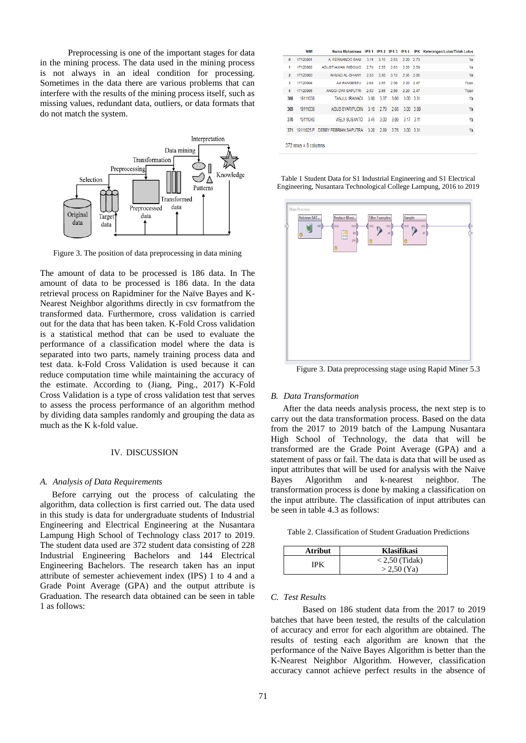Preprocessing is one of the important stages for data in the mining process. The data used in the mining process is not always in an ideal condition for processing. Sometimes in the data there are various problems that can interfere with the results of the mining process itself, such as missing values, redundant data, outliers, or data formats that do not match the system.



Figure 3. The position of data preprocessing in data mining

The amount of data to be processed is 186 data. In The amount of data to be processed is 186 data. In the data retrieval process on Rapidminer for the Naïve Bayes and K-Nearest Neighbor algorithms directly in csv formatfrom the transformed data. Furthermore, cross validation is carried out for the data that has been taken. K-Fold Cross validation is a statistical method that can be used to evaluate the performance of a classification model where the data is separated into two parts, namely training process data and test data. k-Fold Cross Validation is used because it can reduce computation time while maintaining the accuracy of the estimate. According to (Jiang, Ping., 2017) K-Fold Cross Validation is a type of cross validation test that serves to assess the process performance of an algorithm method by dividing data samples randomly and grouping the data as much as the K k-fold value.

#### IV. DISCUSSION

#### *A. Analysis of Data Requirements*

Before carrying out the process of calculating the algorithm, data collection is first carried out. The data used in this study is data for undergraduate students of Industrial Engineering and Electrical Engineering at the Nusantara Lampung High School of Technology class 2017 to 2019. The student data used are 372 student data consisting of 228 Industrial Engineering Bachelors and 144 Electrical Engineering Bachelors. The research taken has an input attribute of semester achievement index (IPS) 1 to 4 and a Grade Point Average (GPA) and the output attribute is Graduation. The research data obtained can be seen in table 1 as follows:

|                | <b>NIM</b> |                                                               |      |      |                          |                | Nama Mahasiswa IPS 1 IPS 2 IPS 3 IPS 4 IPK Keterangan Lulus/Tidak Lulus |
|----------------|------------|---------------------------------------------------------------|------|------|--------------------------|----------------|-------------------------------------------------------------------------|
| $\bf{0}$       | 17120001   | A. FERNANDO SANI                                              | 3.11 |      | $3.15$ 2.63              | 2.20 2.73      | Ya                                                                      |
| 1              | 17120002   | AGUSTIAWAN WIROWO 274                                         |      | 2.55 |                          | 2.63 2.20 2.59 | Ya                                                                      |
| $\overline{2}$ | 17120003   | AHMAD AL-GHANY                                                | 2.53 | 2.80 | 3.13 2.35 2.86           |                | Ya                                                                      |
| 3              | 17120004   | A.II PANGESTU                                                 | 2.63 | 2.65 |                          | 2.50 2.20 2.47 | Tidak                                                                   |
| 4              | 17120005   | ANGGLDWISAPUTRI 2.53 2.65 2.50                                |      |      |                          | 2.20 2.47      | Tidak                                                                   |
| 368            | 19111038   | TANJUL IRAWADI                                                |      |      | 3.90 3.37 3.00 3.00 3.31 |                | Ya                                                                      |
| 369            | 19111039   | AGUS SYARIPUDIN 3.10 2.79 2.88 3.00 3.00                      |      |      |                          |                | Ya                                                                      |
| 370            | 19111040   | WELY SUSANTO 3.45 3.00 3.00 3.17 3.11                         |      |      |                          |                | Ya                                                                      |
|                |            | 371 19111025.P DEBBY FEBRIAN SAPUTRA 3.20 2.89 3.76 3.00 3.31 |      |      |                          |                | Ya                                                                      |
|                |            |                                                               |      |      |                          |                |                                                                         |

372 rows x 8 columns

Table 1 Student Data for S1 Industrial Engineering and S1 Electrical Engineering, Nusantara Technological College Lampung, 2016 to 2019



Figure 3. Data preprocessing stage using Rapid Miner 5.3

## *B. Data Transformation*

After the data needs analysis process, the next step is to carry out the data transformation process. Based on the data from the 2017 to 2019 batch of the Lampung Nusantara High School of Technology, the data that will be transformed are the Grade Point Average (GPA) and a statement of pass or fail. The data is data that will be used as input attributes that will be used for analysis with the Naïve Bayes Algorithm and k-nearest neighbor. The transformation process is done by making a classification on the input attribute. The classification of input attributes can be seen in table 4.3 as follows:

Table 2. Classification of Student Graduation Predictions

| <b>Atribut</b> | Klasifikasi      |
|----------------|------------------|
| IPK            | $< 2.50$ (Tidak) |
|                | $> 2.50$ (Ya)    |

# *C. Test Results*

Based on 186 student data from the 2017 to 2019 batches that have been tested, the results of the calculation of accuracy and error for each algorithm are obtained. The results of testing each algorithm are known that the performance of the Naïve Bayes Algorithm is better than the K-Nearest Neighbor Algorithm. However, classification accuracy cannot achieve perfect results in the absence of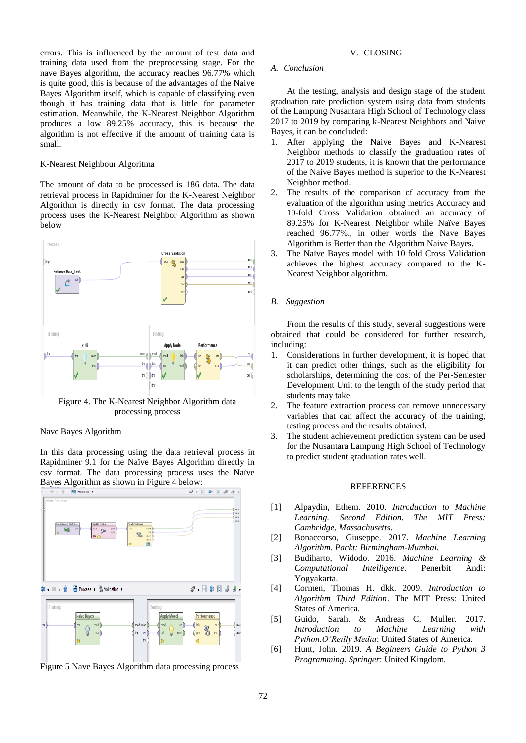errors. This is influenced by the amount of test data and training data used from the preprocessing stage. For the nave Bayes algorithm, the accuracy reaches 96.77% which is quite good, this is because of the advantages of the Naive Bayes Algorithm itself, which is capable of classifying even though it has training data that is little for parameter estimation. Meanwhile, the K-Nearest Neighbor Algorithm produces a low 89.25% accuracy, this is because the algorithm is not effective if the amount of training data is small.

# K-Nearest Neighbour Algoritma

The amount of data to be processed is 186 data. The data retrieval process in Rapidminer for the K-Nearest Neighbor Algorithm is directly in csv format. The data processing process uses the K-Nearest Neighbor Algorithm as shown below



Figure 4. The K-Nearest Neighbor Algorithm data processing process

# Nave Bayes Algorithm

In this data processing using the data retrieval process in Rapidminer 9.1 for the Naïve Bayes Algorithm directly in csv format. The data processing process uses the Naïve Bayes Algorithm as shown in Figure 4 below:



Figure 5 Nave Bayes Algorithm data processing process

# V. CLOSING

# *A. Conclusion*

At the testing, analysis and design stage of the student graduation rate prediction system using data from students of the Lampung Nusantara High School of Technology class 2017 to 2019 by comparing k-Nearest Neighbors and Naive Bayes, it can be concluded:

- 1. After applying the Naive Bayes and K-Nearest Neighbor methods to classify the graduation rates of 2017 to 2019 students, it is known that the performance of the Naive Bayes method is superior to the K-Nearest Neighbor method.
- 2. The results of the comparison of accuracy from the evaluation of the algorithm using metrics Accuracy and 10-fold Cross Validation obtained an accuracy of 89.25% for K-Nearest Neighbor while Naïve Bayes reached 96.77%., in other words the Nave Bayes Algorithm is Better than the Algorithm Naive Bayes.
- 3. The Naïve Bayes model with 10 fold Cross Validation achieves the highest accuracy compared to the K-Nearest Neighbor algorithm.

#### *B. Suggestion*

From the results of this study, several suggestions were obtained that could be considered for further research, including:

- 1. Considerations in further development, it is hoped that it can predict other things, such as the eligibility for scholarships, determining the cost of the Per-Semester Development Unit to the length of the study period that students may take.
- 2. The feature extraction process can remove unnecessary variables that can affect the accuracy of the training, testing process and the results obtained.
- 3. The student achievement prediction system can be used for the Nusantara Lampung High School of Technology to predict student graduation rates well.

# **REFERENCES**

- [1] Alpaydin, Ethem. 2010. *Introduction to Machine Learning. Second Edition. The MIT Press: Cambridge, Massachusetts*.
- [2] Bonaccorso, Giuseppe. 2017. *Machine Learning Algorithm. Packt: Birmingham-Mumbai.*
- [3] Budiharto, Widodo. 2016. *Machine Learning & Computational Intelligence*. Penerbit Andi: Yogyakarta.
- [4] Cormen, Thomas H. dkk. 2009. *Introduction to Algorithm Third Edition*. The MIT Press: United States of America.
- [5] Guido, Sarah. & Andreas C. Muller. 2017. *Introduction to Machine Learning with Python.O'Reilly Media*: United States of America.
- [6] Hunt, John. 2019. *A Begineers Guide to Python 3 Programming. Springer*: United Kingdom.